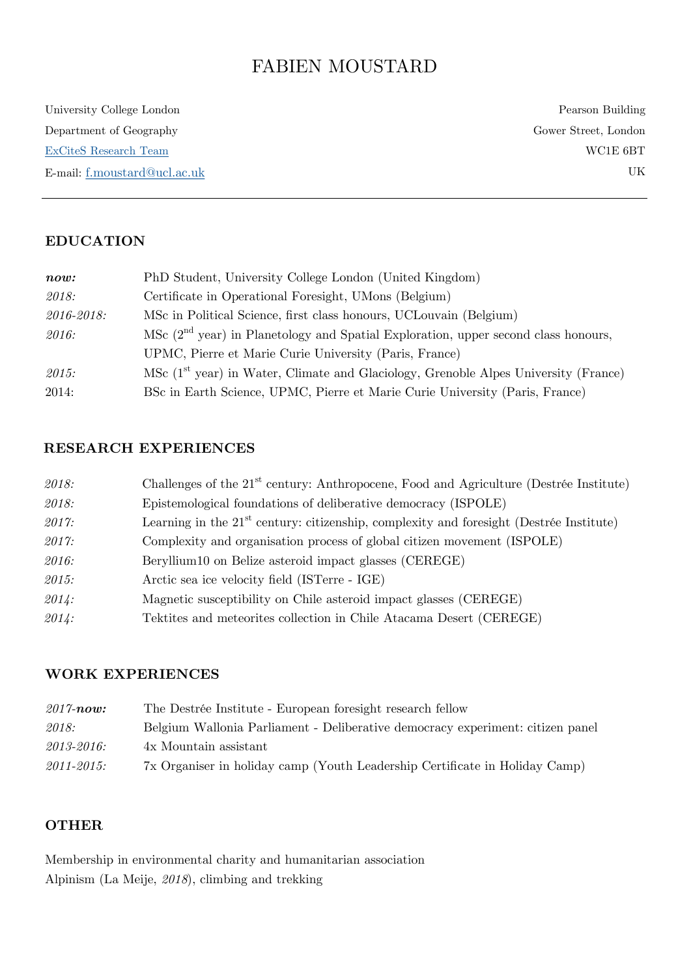# FABIEN MOUSTARD

University College London Department of Geography [ExCiteS Research Team](https://www.geog.ucl.ac.uk/research/research-centres/excites/about-us) E-mail: [f.moustard@ucl.ac.uk](mailto:f.moustard@ucl.ac.uk)

Pearson Building Gower Street, London WC1E 6BT UK

# **EDUCATION**

| now:       | PhD Student, University College London (United Kingdom)                                                             |
|------------|---------------------------------------------------------------------------------------------------------------------|
| 2018:      | Certificate in Operational Foresight, UMons (Belgium)                                                               |
| 2016-2018: | MSc in Political Science, first class honours, UCL ouvain (Belgium)                                                 |
| 2016:      | $MSc$ ( $2nd$ year) in Planetology and Spatial Exploration, upper second class honours,                             |
|            | UPMC, Pierre et Marie Curie University (Paris, France)                                                              |
| 2015:      | $\overline{\text{MSc}}$ (1 <sup>st</sup> year) in Water, Climate and Glaciology, Grenoble Alpes University (France) |
| 2014:      | BSc in Earth Science, UPMC, Pierre et Marie Curie University (Paris, France)                                        |

# **RESEARCH EXPERIENCES**

| 2018: | Challenges of the 21 <sup>st</sup> century: Anthropocene, Food and Agriculture (Destrée Institute) |
|-------|----------------------------------------------------------------------------------------------------|
| 2018: | Epistemological foundations of deliberative democracy (ISPOLE)                                     |
| 2017: | Learning in the $21st$ century: citizenship, complexity and foresight (Destrée Institute)          |
| 2017: | Complexity and organisation process of global citizen movement (ISPOLE)                            |
| 2016: | Beryllium10 on Belize asteroid impact glasses (CEREGE)                                             |
| 2015: | Arctic sea ice velocity field (ISTerre - IGE)                                                      |
| 2014: | Magnetic susceptibility on Chile asteroid impact glasses (CEREGE)                                  |
| 2014: | Tektites and meteorites collection in Chile Atacama Desert (CEREGE)                                |

## **WORK EXPERIENCES**

| $2017$ -now:    | The Destrée Institute - European foresight research fellow                     |
|-----------------|--------------------------------------------------------------------------------|
| 2018:           | Belgium Wallonia Parliament - Deliberative democracy experiment: citizen panel |
| 2013-2016:      | 4x Mountain assistant                                                          |
| $2011 - 2015$ : | 7x Organiser in holiday camp (Youth Leadership Certificate in Holiday Camp)    |

## **OTHER**

Membership in environmental charity and humanitarian association Alpinism (La Meije, *2018*), climbing and trekking